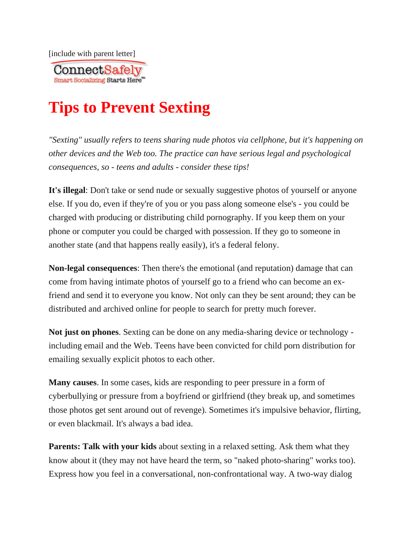[include with parent letter]



## **Tips to Prevent Sexting**

*"Sexting" usually refers to teens sharing nude photos via cellphone, but it's happening on other devices and the Web too. The practice can have serious legal and psychological consequences, so - teens and adults - consider these tips!*

It's illegal: Don't take or send nude or sexually suggestive photos of yourself or anyone else. If you do, even if they're of you or you pass along someone else's - you could be charged with producing or distributing child pornography. If you keep them on your phone or computer you could be charged with possession. If they go to someone in another state (and that happens really easily), it's a federal felony.

**Non-legal consequences**: Then there's the emotional (and reputation) damage that can come from having intimate photos of yourself go to a friend who can become an exfriend and send it to everyone you know. Not only can they be sent around; they can be distributed and archived online for people to search for pretty much forever.

**Not just on phones**. Sexting can be done on any media-sharing device or technology including email and the Web. Teens have been convicted for child porn distribution for emailing sexually explicit photos to each other.

**Many causes**. In some cases, kids are responding to peer pressure in a form of cyberbullying or pressure from a boyfriend or girlfriend (they break up, and sometimes those photos get sent around out of revenge). Sometimes it's impulsive behavior, flirting, or even blackmail. It's always a bad idea.

**Parents: Talk with your kids** about sexting in a relaxed setting. Ask them what they know about it (they may not have heard the term, so "naked photo-sharing" works too). Express how you feel in a conversational, non-confrontational way. A two-way dialog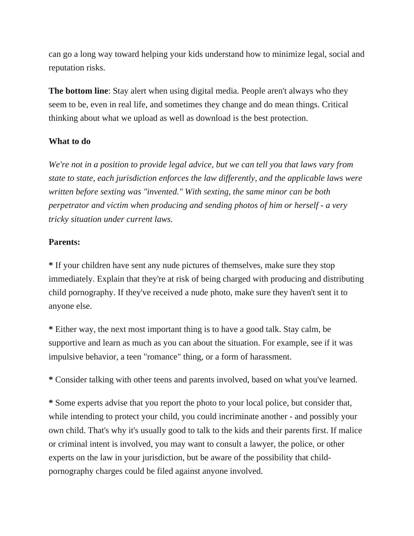can go a long way toward helping your kids understand how to minimize legal, social and reputation risks.

**The bottom line**: Stay alert when using digital media. People aren't always who they seem to be, even in real life, and sometimes they change and do mean things. Critical thinking about what we upload as well as download is the best protection.

## **What to do**

*We're not in a position to provide legal advice, but we can tell you that laws vary from state to state, each jurisdiction enforces the law differently, and the applicable laws were written before sexting was "invented." With sexting, the same minor can be both perpetrator and victim when producing and sending photos of him or herself - a very tricky situation under current laws.*

## **Parents:**

**\*** If your children have sent any nude pictures of themselves, make sure they stop immediately. Explain that they're at risk of being charged with producing and distributing child pornography. If they've received a nude photo, make sure they haven't sent it to anyone else.

**\*** Either way, the next most important thing is to have a good talk. Stay calm, be supportive and learn as much as you can about the situation. For example, see if it was impulsive behavior, a teen "romance" thing, or a form of harassment.

**\*** Consider talking with other teens and parents involved, based on what you've learned.

**\*** Some experts advise that you report the photo to your local police, but consider that, while intending to protect your child, you could incriminate another - and possibly your own child. That's why it's usually good to talk to the kids and their parents first. If malice or criminal intent is involved, you may want to consult a lawyer, the police, or other experts on the law in your jurisdiction, but be aware of the possibility that childpornography charges could be filed against anyone involved.